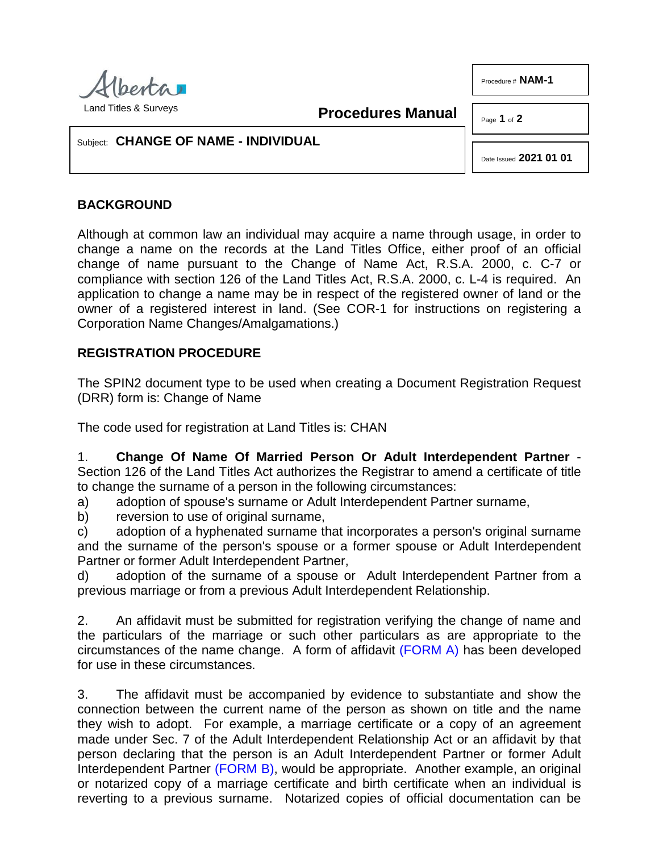

Procedure # **NAM-1**

**Procedures Manual**

Page **1** of **2**

## Subject: **CHANGE OF NAME - INDIVIDUAL**

Date Issued **2021 01 01**

# **BACKGROUND**

Although at common law an individual may acquire a name through usage, in order to change a name on the records at the Land Titles Office, either proof of an official change of name pursuant to the Change of Name Act, R.S.A. 2000, c. C-7 or compliance with section 126 of the Land Titles Act, R.S.A. 2000, c. L-4 is required. An application to change a name may be in respect of the registered owner of land or the owner of a registered interest in land. (See COR-1 for instructions on registering a Corporation Name Changes/Amalgamations.)

## **REGISTRATION PROCEDURE**

The SPIN2 document type to be used when creating a Document Registration Request (DRR) form is: Change of Name

The code used for registration at Land Titles is: CHAN

1. **Change Of Name Of Married Person Or Adult Interdependent Partner** - Section 126 of the Land Titles Act authorizes the Registrar to amend a certificate of title to change the surname of a person in the following circumstances:

a) adoption of spouse's surname or Adult Interdependent Partner surname,

b) reversion to use of original surname.

c) adoption of a hyphenated surname that incorporates a person's original surname and the surname of the person's spouse or a former spouse or Adult Interdependent Partner or former Adult Interdependent Partner,

d) adoption of the surname of a spouse or Adult Interdependent Partner from a previous marriage or from a previous Adult Interdependent Relationship.

2. An affidavit must be submitted for registration verifying the change of name and the particulars of the marriage or such other particulars as are appropriate to the circumstances of the name change. A form of affidavit [\(FORM A\)](http://www.servicealberta.ca/pdf/ltmanual/NAM-1-FORMA.pdf) has been developed for use in these circumstances.

3. The affidavit must be accompanied by evidence to substantiate and show the connection between the current name of the person as shown on title and the name they wish to adopt. For example, a marriage certificate or a copy of an agreement made under Sec. 7 of the Adult Interdependent Relationship Act or an affidavit by that person declaring that the person is an Adult Interdependent Partner or former Adult Interdependent Partner [\(FORM B\),](http://www.servicealberta.ca/pdf/ltmanual/NAM-1-FORMB.pdf) would be appropriate. Another example, an original or notarized copy of a marriage certificate and birth certificate when an individual is reverting to a previous surname. Notarized copies of official documentation can be